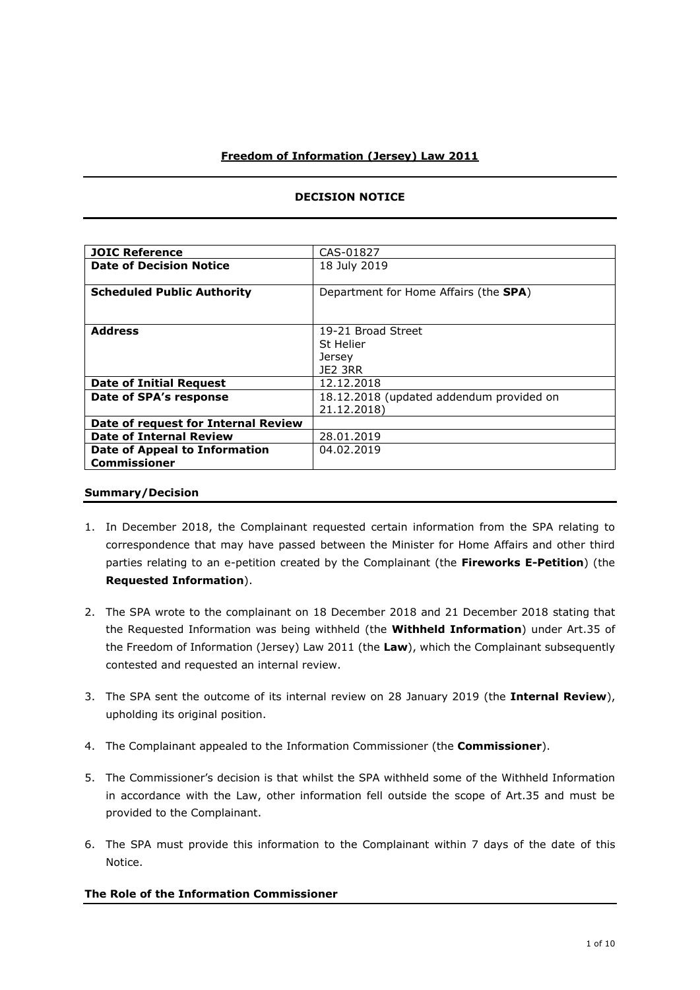# **Freedom of Information (Jersey) Law 2011**

| <b>JOIC Reference</b>                                | CAS-01827                                               |
|------------------------------------------------------|---------------------------------------------------------|
| <b>Date of Decision Notice</b>                       | 18 July 2019                                            |
| <b>Scheduled Public Authority</b>                    | Department for Home Affairs (the SPA)                   |
| <b>Address</b>                                       | 19-21 Broad Street<br>St Helier<br>Jersey<br>JE2 3RR    |
| <b>Date of Initial Request</b>                       | 12.12.2018                                              |
| Date of SPA's response                               | 18.12.2018 (updated addendum provided on<br>21.12.2018) |
| Date of request for Internal Review                  |                                                         |
| <b>Date of Internal Review</b>                       | 28.01.2019                                              |
| Date of Appeal to Information<br><b>Commissioner</b> | 04.02.2019                                              |

## **DECISION NOTICE**

#### **Summary/Decision**

- 1. In December 2018, the Complainant requested certain information from the SPA relating to correspondence that may have passed between the Minister for Home Affairs and other third parties relating to an e-petition created by the Complainant (the **Fireworks E-Petition**) (the **Requested Information**).
- 2. The SPA wrote to the complainant on 18 December 2018 and 21 December 2018 stating that the Requested Information was being withheld (the **Withheld Information**) under Art.35 of the Freedom of Information (Jersey) Law 2011 (the **Law**), which the Complainant subsequently contested and requested an internal review.
- 3. The SPA sent the outcome of its internal review on 28 January 2019 (the **Internal Review**), upholding its original position.
- 4. The Complainant appealed to the Information Commissioner (the **Commissioner**).
- 5. The Commissioner's decision is that whilst the SPA withheld some of the Withheld Information in accordance with the Law, other information fell outside the scope of Art.35 and must be provided to the Complainant.
- 6. The SPA must provide this information to the Complainant within 7 days of the date of this Notice.

### **The Role of the Information Commissioner**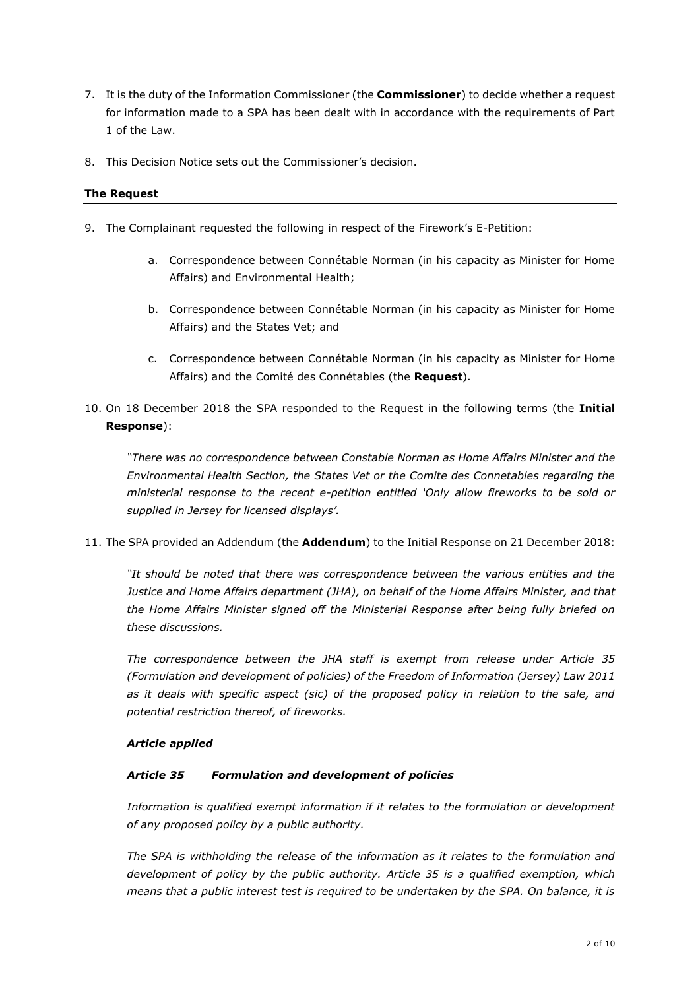- 7. It is the duty of the Information Commissioner (the **Commissioner**) to decide whether a request for information made to a SPA has been dealt with in accordance with the requirements of Part 1 of the Law.
- 8. This Decision Notice sets out the Commissioner's decision.

## **The Request**

- 9. The Complainant requested the following in respect of the Firework's E-Petition:
	- a. Correspondence between Connétable Norman (in his capacity as Minister for Home Affairs) and Environmental Health;
	- b. Correspondence between Connétable Norman (in his capacity as Minister for Home Affairs) and the States Vet; and
	- c. Correspondence between Connétable Norman (in his capacity as Minister for Home Affairs) and the Comité des Connétables (the **Request**).
- 10. On 18 December 2018 the SPA responded to the Request in the following terms (the **Initial Response**):

*"There was no correspondence between Constable Norman as Home Affairs Minister and the Environmental Health Section, the States Vet or the Comite des Connetables regarding the ministerial response to the recent e-petition entitled 'Only allow fireworks to be sold or supplied in Jersey for licensed displays'.*

11. The SPA provided an Addendum (the **Addendum**) to the Initial Response on 21 December 2018:

*"It should be noted that there was correspondence between the various entities and the Justice and Home Affairs department (JHA), on behalf of the Home Affairs Minister, and that the Home Affairs Minister signed off the Ministerial Response after being fully briefed on these discussions.* 

*The correspondence between the JHA staff is exempt from release under Article 35 (Formulation and development of policies) of the Freedom of Information (Jersey) Law 2011 as it deals with specific aspect (sic) of the proposed policy in relation to the sale, and potential restriction thereof, of fireworks.*

### *Article applied*

### *Article 35 Formulation and development of policies*

*Information is qualified exempt information if it relates to the formulation or development of any proposed policy by a public authority.*

*The SPA is withholding the release of the information as it relates to the formulation and development of policy by the public authority. Article 35 is a qualified exemption, which means that a public interest test is required to be undertaken by the SPA. On balance, it is*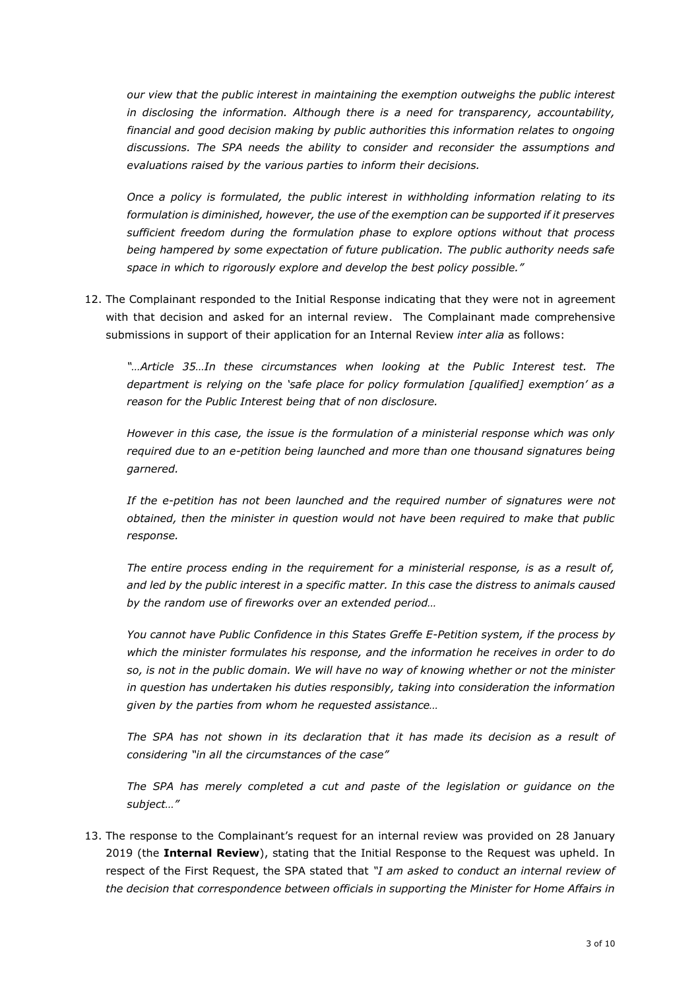*our view that the public interest in maintaining the exemption outweighs the public interest in disclosing the information. Although there is a need for transparency, accountability, financial and good decision making by public authorities this information relates to ongoing discussions. The SPA needs the ability to consider and reconsider the assumptions and evaluations raised by the various parties to inform their decisions.*

*Once a policy is formulated, the public interest in withholding information relating to its formulation is diminished, however, the use of the exemption can be supported if it preserves sufficient freedom during the formulation phase to explore options without that process being hampered by some expectation of future publication. The public authority needs safe space in which to rigorously explore and develop the best policy possible."*

12. The Complainant responded to the Initial Response indicating that they were not in agreement with that decision and asked for an internal review. The Complainant made comprehensive submissions in support of their application for an Internal Review *inter alia* as follows:

*"…Article 35…In these circumstances when looking at the Public Interest test. The department is relying on the 'safe place for policy formulation [qualified] exemption' as a reason for the Public Interest being that of non disclosure.*

*However in this case, the issue is the formulation of a ministerial response which was only required due to an e-petition being launched and more than one thousand signatures being garnered.*

*If the e-petition has not been launched and the required number of signatures were not obtained, then the minister in question would not have been required to make that public response.*

*The entire process ending in the requirement for a ministerial response, is as a result of, and led by the public interest in a specific matter. In this case the distress to animals caused by the random use of fireworks over an extended period…*

*You cannot have Public Confidence in this States Greffe E-Petition system, if the process by which the minister formulates his response, and the information he receives in order to do so, is not in the public domain. We will have no way of knowing whether or not the minister in question has undertaken his duties responsibly, taking into consideration the information given by the parties from whom he requested assistance…*

*The SPA has not shown in its declaration that it has made its decision as a result of considering "in all the circumstances of the case"*

The SPA has merely completed a cut and paste of the legislation or guidance on the *subject…"*

13. The response to the Complainant's request for an internal review was provided on 28 January 2019 (the **Internal Review**), stating that the Initial Response to the Request was upheld. In respect of the First Request, the SPA stated that *"I am asked to conduct an internal review of the decision that correspondence between officials in supporting the Minister for Home Affairs in*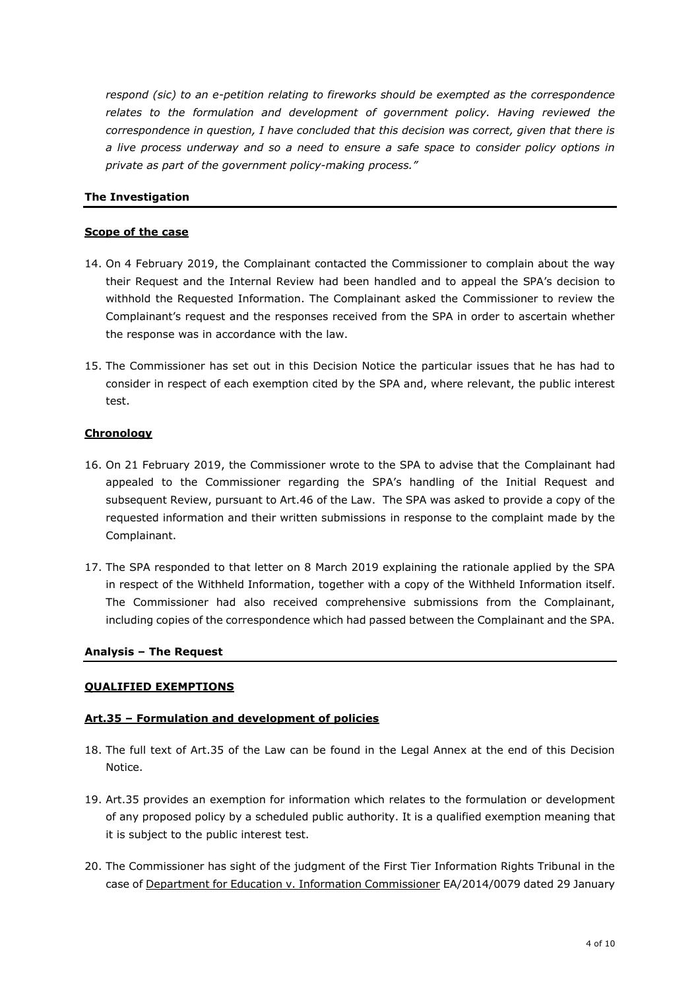*respond (sic) to an e-petition relating to fireworks should be exempted as the correspondence relates to the formulation and development of government policy. Having reviewed the correspondence in question, I have concluded that this decision was correct, given that there is a live process underway and so a need to ensure a safe space to consider policy options in private as part of the government policy-making process."*

# **The Investigation**

### **Scope of the case**

- 14. On 4 February 2019, the Complainant contacted the Commissioner to complain about the way their Request and the Internal Review had been handled and to appeal the SPA's decision to withhold the Requested Information. The Complainant asked the Commissioner to review the Complainant's request and the responses received from the SPA in order to ascertain whether the response was in accordance with the law.
- 15. The Commissioner has set out in this Decision Notice the particular issues that he has had to consider in respect of each exemption cited by the SPA and, where relevant, the public interest test.

### **Chronology**

- 16. On 21 February 2019, the Commissioner wrote to the SPA to advise that the Complainant had appealed to the Commissioner regarding the SPA's handling of the Initial Request and subsequent Review, pursuant to Art.46 of the Law. The SPA was asked to provide a copy of the requested information and their written submissions in response to the complaint made by the Complainant.
- 17. The SPA responded to that letter on 8 March 2019 explaining the rationale applied by the SPA in respect of the Withheld Information, together with a copy of the Withheld Information itself. The Commissioner had also received comprehensive submissions from the Complainant, including copies of the correspondence which had passed between the Complainant and the SPA.

### **Analysis – The Request**

# **QUALIFIED EXEMPTIONS**

### **Art.35 – Formulation and development of policies**

- 18. The full text of Art.35 of the Law can be found in the Legal Annex at the end of this Decision Notice.
- 19. Art.35 provides an exemption for information which relates to the formulation or development of any proposed policy by a scheduled public authority. It is a qualified exemption meaning that it is subject to the public interest test.
- 20. The Commissioner has sight of the judgment of the First Tier Information Rights Tribunal in the case of Department for Education v. Information Commissioner EA/2014/0079 dated 29 January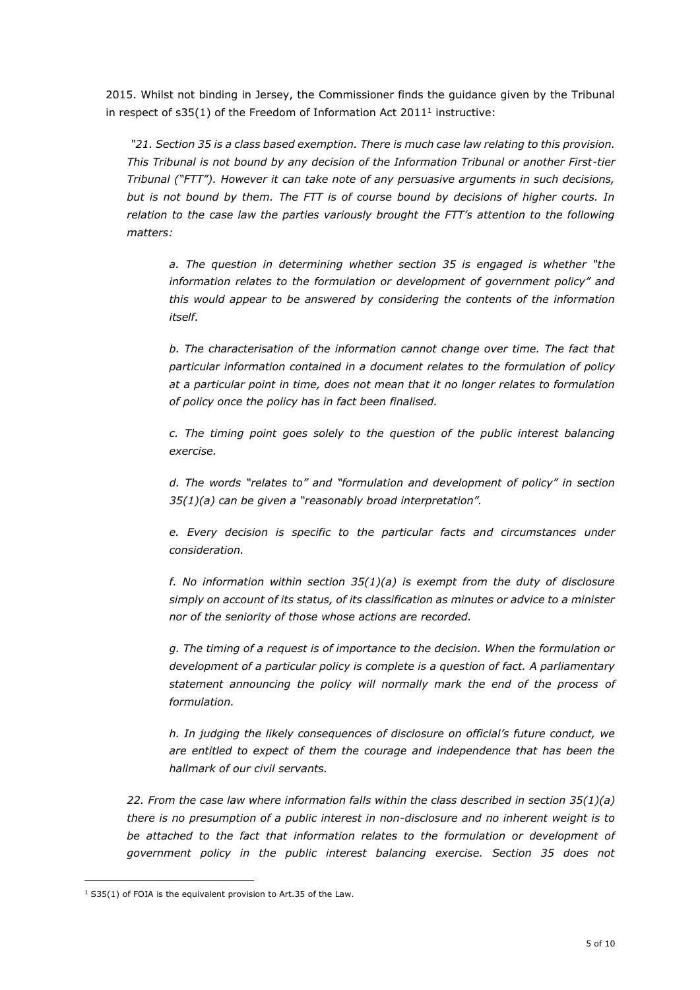2015. Whilst not binding in Jersey, the Commissioner finds the guidance given by the Tribunal in respect of  $s35(1)$  of the Freedom of Information Act 2011<sup>1</sup> instructive:

*"21. Section 35 is a class based exemption. There is much case law relating to this provision. This Tribunal is not bound by any decision of the Information Tribunal or another First-tier Tribunal ("FTT"). However it can take note of any persuasive arguments in such decisions, but is not bound by them. The FTT is of course bound by decisions of higher courts. In relation to the case law the parties variously brought the FTT's attention to the following matters:* 

*a. The question in determining whether section 35 is engaged is whether "the information relates to the formulation or development of government policy" and this would appear to be answered by considering the contents of the information itself.* 

*b. The characterisation of the information cannot change over time. The fact that particular information contained in a document relates to the formulation of policy at a particular point in time, does not mean that it no longer relates to formulation of policy once the policy has in fact been finalised.* 

*c. The timing point goes solely to the question of the public interest balancing exercise.* 

*d. The words "relates to" and "formulation and development of policy" in section 35(1)(a) can be given a "reasonably broad interpretation".* 

*e. Every decision is specific to the particular facts and circumstances under consideration.* 

*f. No information within section 35(1)(a) is exempt from the duty of disclosure simply on account of its status, of its classification as minutes or advice to a minister nor of the seniority of those whose actions are recorded.* 

*g. The timing of a request is of importance to the decision. When the formulation or development of a particular policy is complete is a question of fact. A parliamentary statement announcing the policy will normally mark the end of the process of formulation.* 

*h. In judging the likely consequences of disclosure on official's future conduct, we are entitled to expect of them the courage and independence that has been the hallmark of our civil servants.* 

*22. From the case law where information falls within the class described in section 35(1)(a) there is no presumption of a public interest in non-disclosure and no inherent weight is to*  be attached to the fact that information relates to the formulation or development of *government policy in the public interest balancing exercise. Section 35 does not* 

-

 $1$  S35(1) of FOIA is the equivalent provision to Art.35 of the Law.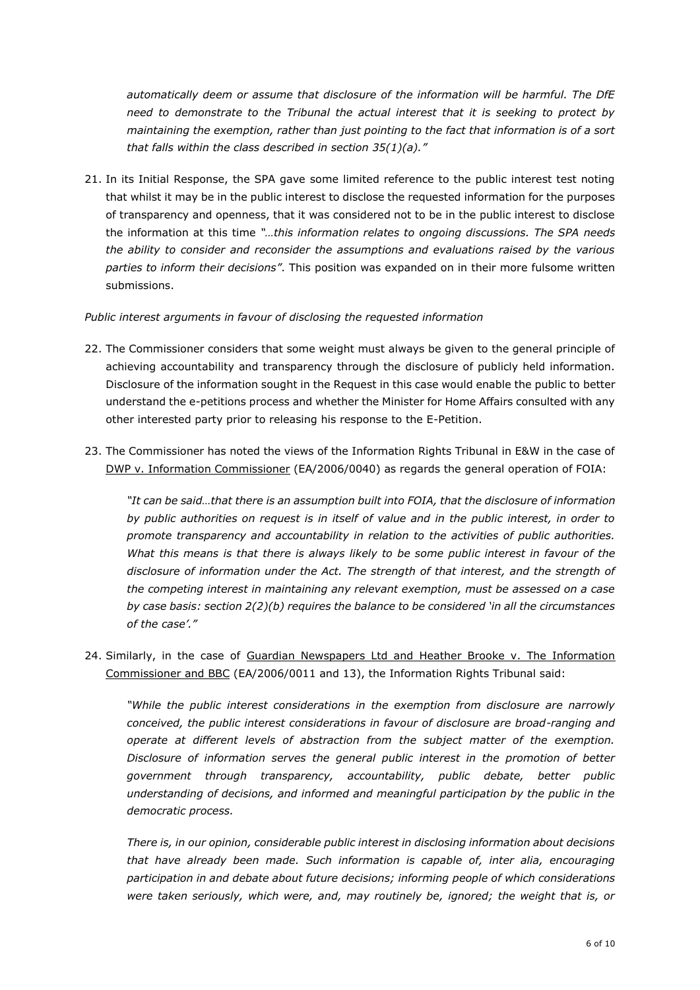*automatically deem or assume that disclosure of the information will be harmful. The DfE need to demonstrate to the Tribunal the actual interest that it is seeking to protect by maintaining the exemption, rather than just pointing to the fact that information is of a sort that falls within the class described in section 35(1)(a)."*

21. In its Initial Response, the SPA gave some limited reference to the public interest test noting that whilst it may be in the public interest to disclose the requested information for the purposes of transparency and openness, that it was considered not to be in the public interest to disclose the information at this time *"…this information relates to ongoing discussions. The SPA needs the ability to consider and reconsider the assumptions and evaluations raised by the various parties to inform their decisions"*. This position was expanded on in their more fulsome written submissions.

### *Public interest arguments in favour of disclosing the requested information*

- 22. The Commissioner considers that some weight must always be given to the general principle of achieving accountability and transparency through the disclosure of publicly held information. Disclosure of the information sought in the Request in this case would enable the public to better understand the e-petitions process and whether the Minister for Home Affairs consulted with any other interested party prior to releasing his response to the E-Petition.
- 23. The Commissioner has noted the views of the Information Rights Tribunal in E&W in the case of DWP v. Information Commissioner (EA/2006/0040) as regards the general operation of FOIA:

*"It can be said…that there is an assumption built into FOIA, that the disclosure of information by public authorities on request is in itself of value and in the public interest, in order to promote transparency and accountability in relation to the activities of public authorities. What this means is that there is always likely to be some public interest in favour of the disclosure of information under the Act. The strength of that interest, and the strength of the competing interest in maintaining any relevant exemption, must be assessed on a case by case basis: section 2(2)(b) requires the balance to be considered 'in all the circumstances of the case'."*

24. Similarly, in the case of Guardian Newspapers Ltd and Heather Brooke v. The Information Commissioner and BBC (EA/2006/0011 and 13), the Information Rights Tribunal said:

*"While the public interest considerations in the exemption from disclosure are narrowly conceived, the public interest considerations in favour of disclosure are broad-ranging and operate at different levels of abstraction from the subject matter of the exemption. Disclosure of information serves the general public interest in the promotion of better government through transparency, accountability, public debate, better public understanding of decisions, and informed and meaningful participation by the public in the democratic process.*

*There is, in our opinion, considerable public interest in disclosing information about decisions that have already been made. Such information is capable of, inter alia, encouraging participation in and debate about future decisions; informing people of which considerations were taken seriously, which were, and, may routinely be, ignored; the weight that is, or*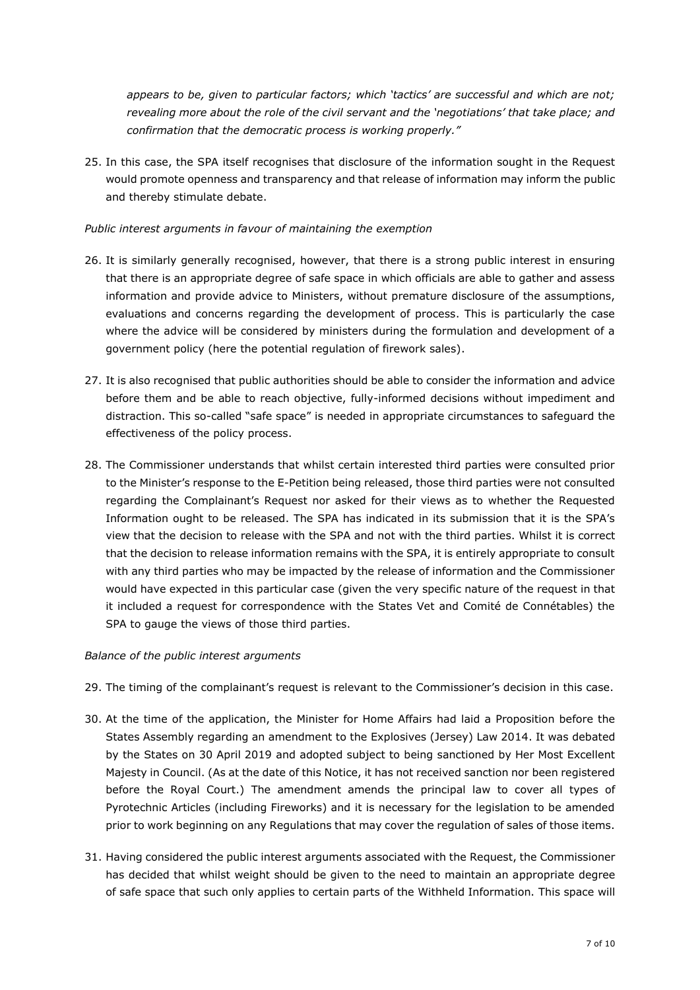*appears to be, given to particular factors; which 'tactics' are successful and which are not; revealing more about the role of the civil servant and the 'negotiations' that take place; and confirmation that the democratic process is working properly."* 

25. In this case, the SPA itself recognises that disclosure of the information sought in the Request would promote openness and transparency and that release of information may inform the public and thereby stimulate debate.

## *Public interest arguments in favour of maintaining the exemption*

- 26. It is similarly generally recognised, however, that there is a strong public interest in ensuring that there is an appropriate degree of safe space in which officials are able to gather and assess information and provide advice to Ministers, without premature disclosure of the assumptions, evaluations and concerns regarding the development of process. This is particularly the case where the advice will be considered by ministers during the formulation and development of a government policy (here the potential regulation of firework sales).
- 27. It is also recognised that public authorities should be able to consider the information and advice before them and be able to reach objective, fully-informed decisions without impediment and distraction. This so-called "safe space" is needed in appropriate circumstances to safeguard the effectiveness of the policy process.
- 28. The Commissioner understands that whilst certain interested third parties were consulted prior to the Minister's response to the E-Petition being released, those third parties were not consulted regarding the Complainant's Request nor asked for their views as to whether the Requested Information ought to be released. The SPA has indicated in its submission that it is the SPA's view that the decision to release with the SPA and not with the third parties. Whilst it is correct that the decision to release information remains with the SPA, it is entirely appropriate to consult with any third parties who may be impacted by the release of information and the Commissioner would have expected in this particular case (given the very specific nature of the request in that it included a request for correspondence with the States Vet and Comité de Connétables) the SPA to gauge the views of those third parties.

### *Balance of the public interest arguments*

- 29. The timing of the complainant's request is relevant to the Commissioner's decision in this case.
- 30. At the time of the application, the Minister for Home Affairs had laid a Proposition before the States Assembly regarding an amendment to the Explosives (Jersey) Law 2014. It was debated by the States on 30 April 2019 and adopted subject to being sanctioned by Her Most Excellent Majesty in Council. (As at the date of this Notice, it has not received sanction nor been registered before the Royal Court.) The amendment amends the principal law to cover all types of Pyrotechnic Articles (including Fireworks) and it is necessary for the legislation to be amended prior to work beginning on any Regulations that may cover the regulation of sales of those items.
- 31. Having considered the public interest arguments associated with the Request, the Commissioner has decided that whilst weight should be given to the need to maintain an appropriate degree of safe space that such only applies to certain parts of the Withheld Information. This space will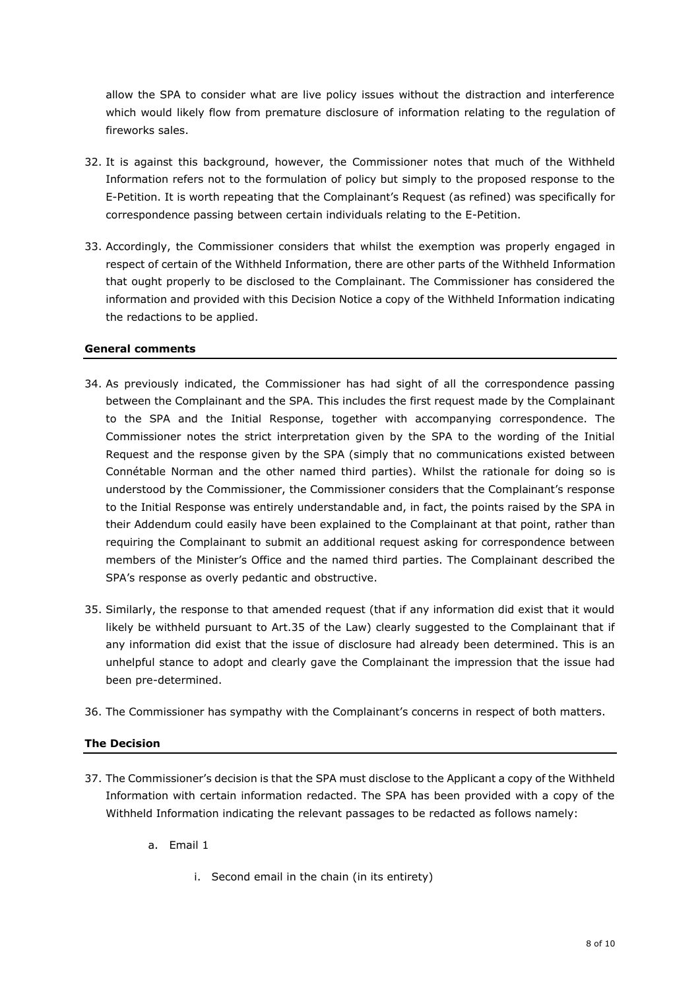allow the SPA to consider what are live policy issues without the distraction and interference which would likely flow from premature disclosure of information relating to the regulation of fireworks sales.

- 32. It is against this background, however, the Commissioner notes that much of the Withheld Information refers not to the formulation of policy but simply to the proposed response to the E-Petition. It is worth repeating that the Complainant's Request (as refined) was specifically for correspondence passing between certain individuals relating to the E-Petition.
- 33. Accordingly, the Commissioner considers that whilst the exemption was properly engaged in respect of certain of the Withheld Information, there are other parts of the Withheld Information that ought properly to be disclosed to the Complainant. The Commissioner has considered the information and provided with this Decision Notice a copy of the Withheld Information indicating the redactions to be applied.

## **General comments**

- 34. As previously indicated, the Commissioner has had sight of all the correspondence passing between the Complainant and the SPA. This includes the first request made by the Complainant to the SPA and the Initial Response, together with accompanying correspondence. The Commissioner notes the strict interpretation given by the SPA to the wording of the Initial Request and the response given by the SPA (simply that no communications existed between Connétable Norman and the other named third parties). Whilst the rationale for doing so is understood by the Commissioner, the Commissioner considers that the Complainant's response to the Initial Response was entirely understandable and, in fact, the points raised by the SPA in their Addendum could easily have been explained to the Complainant at that point, rather than requiring the Complainant to submit an additional request asking for correspondence between members of the Minister's Office and the named third parties. The Complainant described the SPA's response as overly pedantic and obstructive.
- 35. Similarly, the response to that amended request (that if any information did exist that it would likely be withheld pursuant to Art.35 of the Law) clearly suggested to the Complainant that if any information did exist that the issue of disclosure had already been determined. This is an unhelpful stance to adopt and clearly gave the Complainant the impression that the issue had been pre-determined.
- 36. The Commissioner has sympathy with the Complainant's concerns in respect of both matters.

# **The Decision**

- 37. The Commissioner's decision is that the SPA must disclose to the Applicant a copy of the Withheld Information with certain information redacted. The SPA has been provided with a copy of the Withheld Information indicating the relevant passages to be redacted as follows namely:
	- a. Email 1
		- i. Second email in the chain (in its entirety)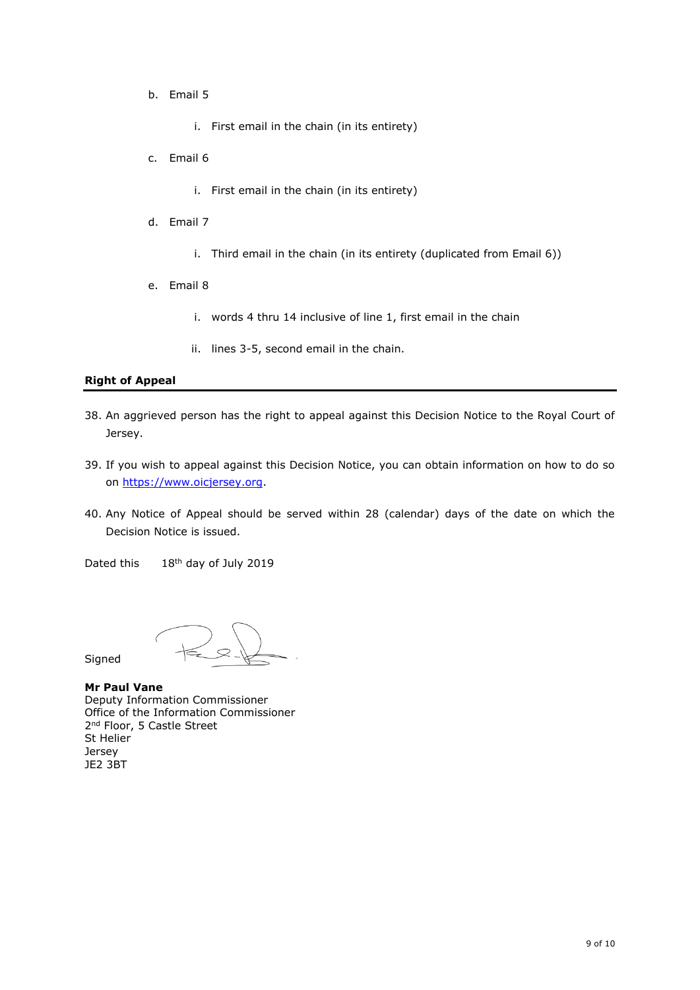b. Email 5

i. First email in the chain (in its entirety)

- c. Email 6
	- i. First email in the chain (in its entirety)
- d. Email 7
	- i. Third email in the chain (in its entirety (duplicated from Email 6))
- e. Email 8
	- i. words 4 thru 14 inclusive of line 1, first email in the chain
	- ii. lines 3-5, second email in the chain.

## **Right of Appeal**

- 38. An aggrieved person has the right to appeal against this Decision Notice to the Royal Court of Jersey.
- 39. If you wish to appeal against this Decision Notice, you can obtain information on how to do so on [https://www.oicjersey.org.](https://www.oicjersey.org/)
- 40. Any Notice of Appeal should be served within 28 (calendar) days of the date on which the Decision Notice is issued.

Dated this 18<sup>th</sup> day of July 2019

**Signed** 

**Mr Paul Vane** Deputy Information Commissioner Office of the Information Commissioner 2<sup>nd</sup> Floor, 5 Castle Street St Helier Jersey JE2 3BT